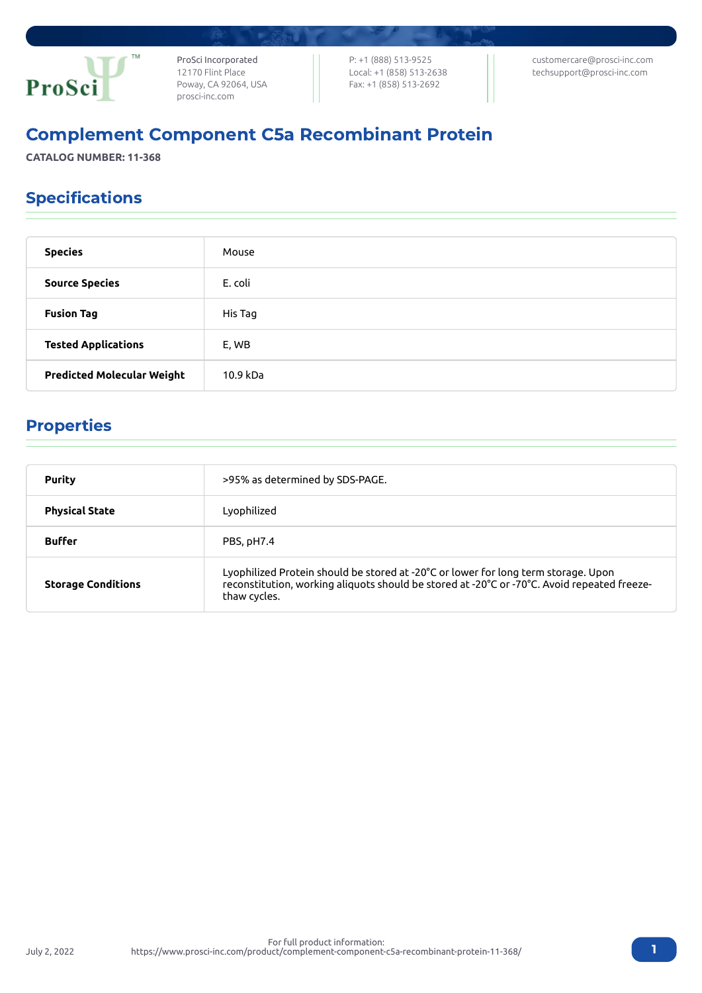

ProSci Incorporated 12170 Flint Place Poway, CA 92064, USA [prosci-inc.com](https://prosci-inc.com/)

P: +1 (888) 513-9525 Local: +1 (858) 513-2638 Fax: +1 (858) 513-2692

[customercare@prosci-inc.com](mailto:customercare@prosci-inc.com) [techsupport@prosci-inc.com](mailto:techsupport@prosci-inc.com)

# Complement Component C5a Recombinant Protein

**CATALOG NUMBER: 11-368**

### Specifications

| <b>Species</b>                    | Mouse    |
|-----------------------------------|----------|
| <b>Source Species</b>             | E. coli  |
| <b>Fusion Tag</b>                 | His Tag  |
| <b>Tested Applications</b>        | E, WB    |
| <b>Predicted Molecular Weight</b> | 10.9 kDa |

# Properties

July 2, 2022

| <b>Purity</b>             | >95% as determined by SDS-PAGE.                                                                                                                                                                   |
|---------------------------|---------------------------------------------------------------------------------------------------------------------------------------------------------------------------------------------------|
| <b>Physical State</b>     | Lyophilized                                                                                                                                                                                       |
| <b>Buffer</b>             | PBS, pH7.4                                                                                                                                                                                        |
| <b>Storage Conditions</b> | Lyophilized Protein should be stored at -20°C or lower for long term storage. Upon<br>reconstitution, working aliquots should be stored at -20°C or -70°C. Avoid repeated freeze-<br>thaw cycles. |